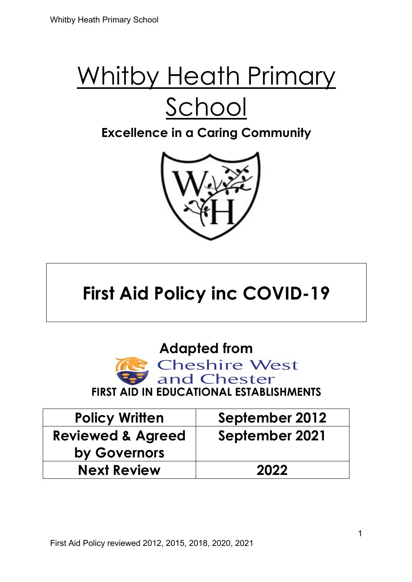### **Excellence in a Caring Community**



## **First Aid Policy inc COVID-19**

**Adapted from** 



| <b>Policy Written</b>        | September 2012 |
|------------------------------|----------------|
| <b>Reviewed &amp; Agreed</b> | September 2021 |
| by Governors                 |                |
| <b>Next Review</b>           | 2022           |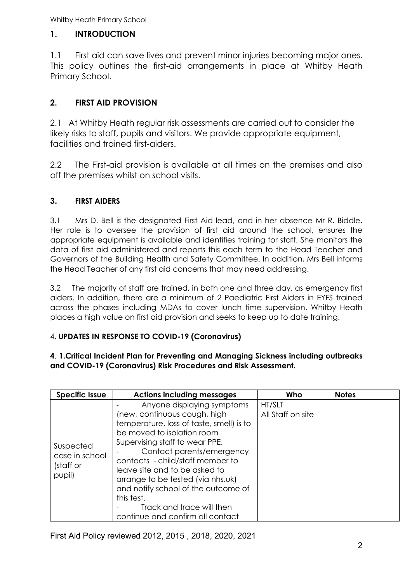#### **1. INTRODUCTION**

1.1 First aid can save lives and prevent minor injuries becoming major ones. This policy outlines the first-aid arrangements in place at Whitby Heath Primary School.

#### **2. FIRST AID PROVISION**

2.1 At Whitby Heath regular risk assessments are carried out to consider the likely risks to staff, pupils and visitors. We provide appropriate equipment, facilities and trained first-aiders.

2.2 The First-aid provision is available at all times on the premises and also off the premises whilst on school visits.

#### **3. FIRST AIDERS**

3.1 Mrs D. Bell is the designated First Aid lead, and in her absence Mr R. Biddle. Her role is to oversee the provision of first aid around the school, ensures the appropriate equipment is available and identifies training for staff. She monitors the data of first aid administered and reports this each term to the Head Teacher and Governors of the Building Health and Safety Committee. In addition, Mrs Bell informs the Head Teacher of any first aid concerns that may need addressing.

3.2 The majority of staff are trained, in both one and three day, as emergency first aiders. In addition, there are a minimum of 2 Paediatric First Aiders in EYFS trained across the phases including MDAs to cover lunch time supervision. Whitby Heath places a high value on first aid provision and seeks to keep up to date training.

#### 4. **UPDATES IN RESPONSE TO COVID-19 (Coronavirus)**

#### **4**. **1.Critical Incident Plan for Preventing and Managing Sickness including outbreaks and COVID-19 (Coronavirus) Risk Procedures and Risk Assessment.**

| <b>Specific Issue</b>                              | <b>Actions including messages</b>                                                                                                                                                                                                                                                                                                                                                                                                   | Who                         | <b>Notes</b> |
|----------------------------------------------------|-------------------------------------------------------------------------------------------------------------------------------------------------------------------------------------------------------------------------------------------------------------------------------------------------------------------------------------------------------------------------------------------------------------------------------------|-----------------------------|--------------|
| Suspected<br>case in school<br>(staff or<br>pupil) | Anyone displaying symptoms<br>(new, continuous cough, high<br>temperature, loss of taste, smell) is to<br>be moved to isolation room<br>Supervising staff to wear PPE.<br>Contact parents/emergency<br>contacts - child/staff member to<br>leave site and to be asked to<br>arrange to be tested (via nhs.uk)<br>and notify school of the outcome of<br>this test.<br>Track and trace will then<br>continue and confirm all contact | HT/SLT<br>All Staff on site |              |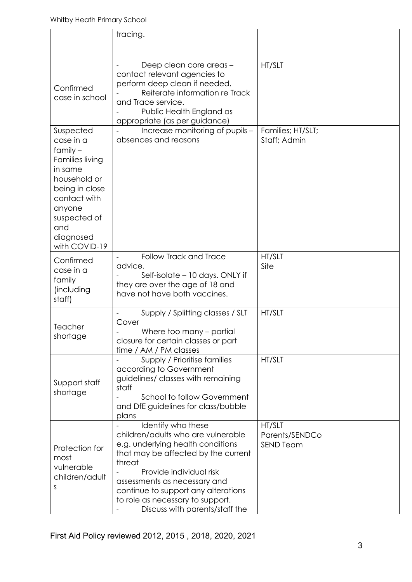|                                                                                                                                                                                        | tracing.                                                                                                                                                                                                                                                                                                               |                                              |  |
|----------------------------------------------------------------------------------------------------------------------------------------------------------------------------------------|------------------------------------------------------------------------------------------------------------------------------------------------------------------------------------------------------------------------------------------------------------------------------------------------------------------------|----------------------------------------------|--|
| Confirmed<br>case in school                                                                                                                                                            | Deep clean core areas -<br>contact relevant agencies to<br>perform deep clean if needed.<br>Reiterate information re Track<br>and Trace service.<br>Public Health England as<br>appropriate (as per guidance)                                                                                                          | HT/SLT                                       |  |
| Suspected<br>case in a<br>$f$ amily $-$<br>Families living<br>in same<br>household or<br>being in close<br>contact with<br>anyone<br>suspected of<br>and<br>diagnosed<br>with COVID-19 | Increase monitoring of pupils -<br>absences and reasons                                                                                                                                                                                                                                                                | Families; HT/SLT;<br>Staff; Admin            |  |
| Confirmed<br>case in a<br>family<br>(including<br>staff)                                                                                                                               | Follow Track and Trace<br>advice.<br>Self-isolate - 10 days. ONLY if<br>they are over the age of 18 and<br>have not have both vaccines.                                                                                                                                                                                | HT/SLT<br>Site                               |  |
| Teacher<br>shortage                                                                                                                                                                    | Supply / Splitting classes / SLT<br>Cover<br>Where too many – partial<br>closure for certain classes or part<br>time / AM / PM classes                                                                                                                                                                                 | HT/SLT                                       |  |
| Support staff<br>shortage                                                                                                                                                              | Supply / Prioritise families<br>according to Government<br>guidelines/ classes with remaining<br>staff<br>School to follow Government<br>and DfE guidelines for class/bubble<br>plans                                                                                                                                  | HT/SLT                                       |  |
| Protection for<br>most<br>vulnerable<br>children/adult<br>S                                                                                                                            | Identify who these<br>children/adults who are vulnerable<br>e.g. underlying health conditions<br>that may be affected by the current<br>threat<br>Provide individual risk<br>assessments as necessary and<br>continue to support any alterations<br>to role as necessary to support.<br>Discuss with parents/staff the | HT/SLT<br>Parents/SENDCo<br><b>SEND Team</b> |  |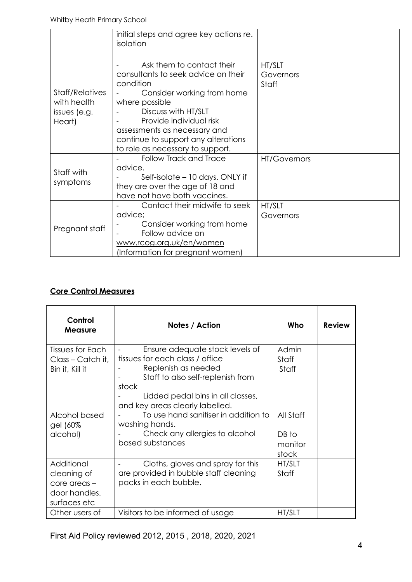|                                                          | initial steps and agree key actions re.<br>isolation                                                                                                                                                                                                                                       |                              |  |
|----------------------------------------------------------|--------------------------------------------------------------------------------------------------------------------------------------------------------------------------------------------------------------------------------------------------------------------------------------------|------------------------------|--|
| Staff/Relatives<br>with health<br>issues (e.g.<br>Heart) | Ask them to contact their<br>consultants to seek advice on their<br>condition<br>Consider working from home<br>where possible<br>Discuss with HT/SLT<br>Provide individual risk<br>assessments as necessary and<br>continue to support any alterations<br>to role as necessary to support. | HT/SLT<br>Governors<br>Staff |  |
| Staff with<br>symptoms                                   | <b>Follow Track and Trace</b><br>advice.<br>Self-isolate - 10 days. ONLY if<br>they are over the age of 18 and<br>have not have both vaccines.                                                                                                                                             | <b>HT/Governors</b>          |  |
| Pregnant staff                                           | Contact their midwife to seek<br>advice;<br>Consider working from home<br>Follow advice on<br>www.rcog.org.uk/en/women<br>(Information for pregnant women)                                                                                                                                 | HT/SLT<br>Governors          |  |

#### **Core Control Measures**

| Control<br><b>Measure</b>                                                  | Notes / Action                                                                                                                                                                                                  | Who                                    | <b>Review</b> |
|----------------------------------------------------------------------------|-----------------------------------------------------------------------------------------------------------------------------------------------------------------------------------------------------------------|----------------------------------------|---------------|
| Tissues for Each<br>Class - Catch it,<br>Bin it, Kill it                   | Ensure adequate stock levels of<br>tissues for each class / office<br>Replenish as needed<br>Staff to also self-replenish from<br>stock<br>Lidded pedal bins in all classes,<br>and key areas clearly labelled. | Admin<br>Staff<br>Staff                |               |
| Alcohol based<br>gel (60%<br>alcohol)                                      | To use hand sanitiser in addition to<br>washing hands.<br>Check any allergies to alcohol<br>based substances                                                                                                    | All Staff<br>DB to<br>monitor<br>stock |               |
| Additional<br>cleaning of<br>core areas -<br>door handles.<br>surfaces etc | Cloths, gloves and spray for this<br>are provided in bubble staff cleaning<br>packs in each bubble.                                                                                                             | HT/SLT<br>Staff                        |               |
| Other users of                                                             | Visitors to be informed of usage                                                                                                                                                                                | HT/SLT                                 |               |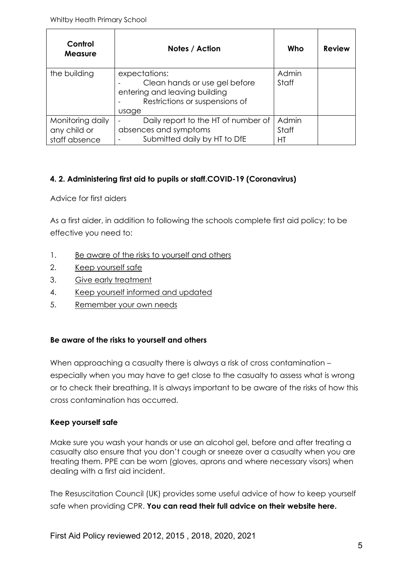| Control<br><b>Measure</b>                         | Notes / Action                                                                                                             | Who                  | <b>Review</b> |
|---------------------------------------------------|----------------------------------------------------------------------------------------------------------------------------|----------------------|---------------|
| the building                                      | expectations:<br>Clean hands or use gel before<br>entering and leaving building<br>Restrictions or suspensions of<br>usage | Admin<br>Staff       |               |
| Monitoring daily<br>any child or<br>staff absence | Daily report to the HT of number of<br>absences and symptoms<br>Submitted daily by HT to DfE                               | Admin<br>Staff<br>НT |               |

#### **4. 2. Administering first aid to pupils or staff.COVID-19 (Coronavirus)**

Advice for first aiders

As a first aider, in addition to following the schools complete first aid policy; to be effective you need to:

- 1. Be aware of the risks to yourself and others
- 2. Keep yourself safe
- 3. Give early treatment
- 4. Keep yourself informed and updated
- 5. Remember your own needs

#### **Be aware of the risks to yourself and others**

When approaching a casualty there is always a risk of cross contamination especially when you may have to get close to the casualty to assess what is wrong or to check their breathing. It is always important to be aware of the risks of how this cross contamination has occurred.

#### **Keep yourself safe**

Make sure you wash your hands or use an alcohol gel, before and after treating a casualty also ensure that you don't cough or sneeze over a casualty when you are treating them. PPE can be worn (gloves, aprons and where necessary visors) when dealing with a first aid incident.

The Resuscitation Council (UK) provides some useful advice of how to keep yourself safe when providing CPR. **You can read their full advice on their website here.**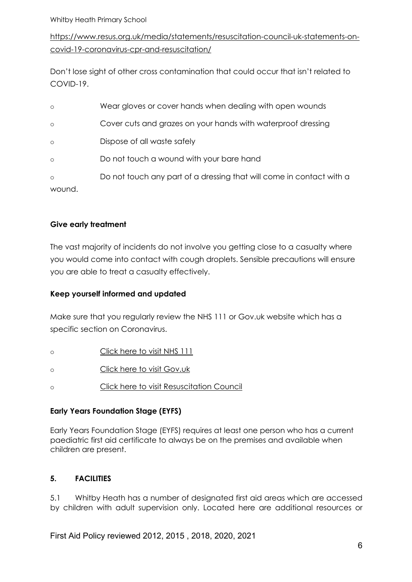https://www.resus.org.uk/media/statements/resuscitation-council-uk-statements-oncovid-19-coronavirus-cpr-and-resuscitation/

Don't lose sight of other cross contamination that could occur that isn't related to COVID-19.

| $\circ$ | Wear gloves or cover hands when dealing with open wounds             |
|---------|----------------------------------------------------------------------|
| $\circ$ | Cover cuts and grazes on your hands with waterproof dressing         |
| $\circ$ | Dispose of all waste safely                                          |
| $\circ$ | Do not touch a wound with your bare hand                             |
| $\circ$ | Do not touch any part of a dressing that will come in contact with a |
| wound.  |                                                                      |

#### **Give early treatment**

The vast majority of incidents do not involve you getting close to a casualty where you would come into contact with cough droplets. Sensible precautions will ensure you are able to treat a casualty effectively.

#### **Keep yourself informed and updated**

Make sure that you regularly review the NHS 111 or Gov.uk website which has a specific section on Coronavirus.

- o Click here to visit NHS 111
- o Click here to visit Gov.uk
- o Click here to visit Resuscitation Council

#### **Early Years Foundation Stage (EYFS)**

Early Years Foundation Stage (EYFS) requires at least one person who has a current paediatric first aid certificate to always be on the premises and available when children are present.

#### **5. FACILITIES**

5.1 Whitby Heath has a number of designated first aid areas which are accessed by children with adult supervision only. Located here are additional resources or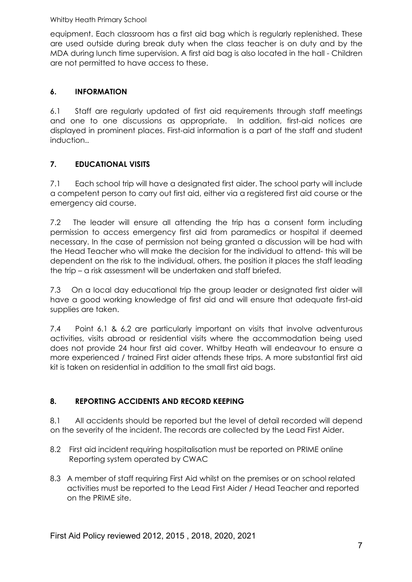equipment. Each classroom has a first aid bag which is regularly replenished. These are used outside during break duty when the class teacher is on duty and by the MDA during lunch time supervision. A first aid bag is also located in the hall - Children are not permitted to have access to these.

#### **6. INFORMATION**

6.1 Staff are regularly updated of first aid requirements through staff meetings and one to one discussions as appropriate. In addition, first-aid notices are displayed in prominent places. First-aid information is a part of the staff and student induction..

#### **7. EDUCATIONAL VISITS**

7.1 Each school trip will have a designated first aider. The school party will include a competent person to carry out first aid, either via a registered first aid course or the emergency aid course.

7.2 The leader will ensure all attending the trip has a consent form including permission to access emergency first aid from paramedics or hospital if deemed necessary. In the case of permission not being granted a discussion will be had with the Head Teacher who will make the decision for the individual to attend- this will be dependent on the risk to the individual, others, the position it places the staff leading the trip – a risk assessment will be undertaken and staff briefed.

7.3 On a local day educational trip the group leader or designated first aider will have a good working knowledge of first aid and will ensure that adequate first-aid supplies are taken.

7.4 Point 6.1 & 6.2 are particularly important on visits that involve adventurous activities, visits abroad or residential visits where the accommodation being used does not provide 24 hour first aid cover. Whitby Heath will endeavour to ensure a more experienced / trained First aider attends these trips. A more substantial first aid kit is taken on residential in addition to the small first aid bags.

#### **8. REPORTING ACCIDENTS AND RECORD KEEPING**

8.1 All accidents should be reported but the level of detail recorded will depend on the severity of the incident. The records are collected by the Lead First Aider.

- 8.2 First aid incident requiring hospitalisation must be reported on PRIME online Reporting system operated by CWAC
- 8.3 A member of staff requiring First Aid whilst on the premises or on school related activities must be reported to the Lead First Aider / Head Teacher and reported on the PRIME site.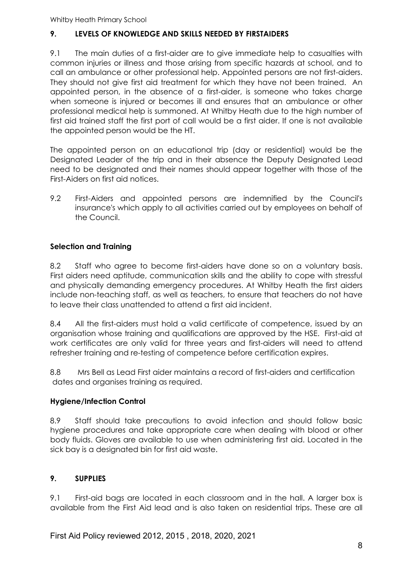#### **9. LEVELS OF KNOWLEDGE AND SKILLS NEEDED BY FIRSTAIDERS**

9.1 The main duties of a first-aider are to give immediate help to casualties with common injuries or illness and those arising from specific hazards at school, and to call an ambulance or other professional help. Appointed persons are not first-aiders. They should not give first aid treatment for which they have not been trained. An appointed person, in the absence of a first-aider, is someone who takes charge when someone is injured or becomes ill and ensures that an ambulance or other professional medical help is summoned. At Whitby Heath due to the high number of first aid trained staff the first port of call would be a first aider. If one is not available the appointed person would be the HT.

The appointed person on an educational trip (day or residential) would be the Designated Leader of the trip and in their absence the Deputy Designated Lead need to be designated and their names should appear together with those of the First-Aiders on first aid notices.

9.2 First-Aiders and appointed persons are indemnified by the Council's insurance's which apply to all activities carried out by employees on behalf of the Council.

#### **Selection and Training**

8.2 Staff who agree to become first-aiders have done so on a voluntary basis. First aiders need aptitude, communication skills and the ability to cope with stressful and physically demanding emergency procedures. At Whitby Heath the first aiders include non-teaching staff, as well as teachers, to ensure that teachers do not have to leave their class unattended to attend a first aid incident.

8.4 All the first-aiders must hold a valid certificate of competence, issued by an organisation whose training and qualifications are approved by the HSE. First-aid at work certificates are only valid for three years and first-aiders will need to attend refresher training and re-testing of competence before certification expires.

8.8 Mrs Bell as Lead First aider maintains a record of first-aiders and certification dates and organises training as required.

#### **Hygiene/Infection Control**

8.9 Staff should take precautions to avoid infection and should follow basic hygiene procedures and take appropriate care when dealing with blood or other body fluids. Gloves are available to use when administering first aid. Located in the sick bay is a designated bin for first aid waste.

#### **9. SUPPLIES**

9.1 First-aid bags are located in each classroom and in the hall. A larger box is available from the First Aid lead and is also taken on residential trips. These are all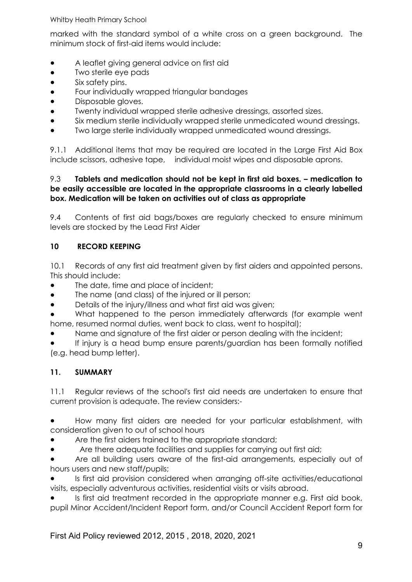marked with the standard symbol of a white cross on a green background. The minimum stock of first-aid items would include:

- A leaflet giving general advice on first aid
- Two sterile eye pads
- Six safety pins.
- Four individually wrapped triangular bandages
- Disposable gloves.
- Twenty individual wrapped sterile adhesive dressings, assorted sizes.
- Six medium sterile individually wrapped sterile unmedicated wound dressings.
- Two large sterile individually wrapped unmedicated wound dressings.

9.1.1 Additional items that may be required are located in the Large First Aid Box include scissors, adhesive tape, individual moist wipes and disposable aprons.

#### 9.3 **Tablets and medication should not be kept in first aid boxes. – medication to be easily accessible are located in the appropriate classrooms in a clearly labelled box. Medication will be taken on activities out of class as appropriate**

9.4 Contents of first aid bags/boxes are regularly checked to ensure minimum levels are stocked by the Lead First Aider

#### **10 RECORD KEEPING**

10.1 Records of any first aid treatment given by first aiders and appointed persons. This should include:

- The date, time and place of incident;
- The name (and class) of the injured or ill person;
- Details of the injury/illness and what first aid was given;
- What happened to the person immediately afterwards (for example went home, resumed normal duties, went back to class, went to hospital);
- Name and signature of the first aider or person dealing with the incident;

If injury is a head bump ensure parents/guardian has been formally notified (e.g. head bump letter).

#### **11. SUMMARY**

11.1 Regular reviews of the school's first aid needs are undertaken to ensure that current provision is adequate. The review considers:-

● How many first aiders are needed for your particular establishment, with consideration given to out of school hours

- Are the first aiders trained to the appropriate standard;
- Are there adequate facilities and supplies for carrying out first aid;

Are all building users aware of the first-aid arrangements, especially out of hours users and new staff/pupils;

Is first aid provision considered when arranging off-site activities/educational visits, especially adventurous activities, residential visits or visits abroad.

Is first aid treatment recorded in the appropriate manner e.g. First aid book, pupil Minor Accident/Incident Report form, and/or Council Accident Report form for